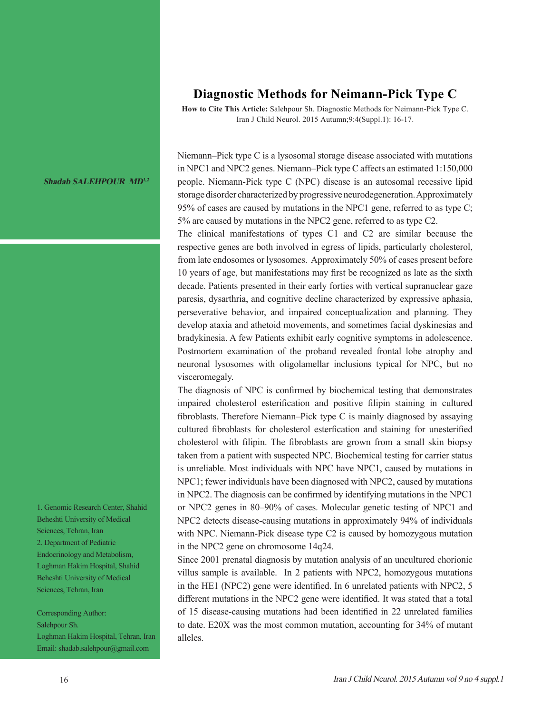## **Diagnostic Methods for Neimann-Pick Type C**

**How to Cite This Article:** Salehpour Sh. Diagnostic Methods for Neimann-Pick Type C. Iran J Child Neurol. 2015 Autumn;9:4(Suppl.1): 16-17.

Niemann–Pick type C is a lysosomal storage disease associated with mutations in NPC1 and NPC2 genes. Niemann–Pick type C affects an estimated 1:150,000 people. Niemann-Pick type C (NPC) disease is an autosomal recessive lipid storage disorder characterized by progressive neurodegeneration. Approximately 95% of cases are caused by mutations in the NPC1 gene, referred to as type C; 5% are caused by mutations in the NPC2 gene, referred to as type C2.

The clinical manifestations of types C1 and C2 are similar because the respective genes are both involved in egress of lipids, particularly cholesterol, from late endosomes or lysosomes. Approximately 50% of cases present before 10 years of age, but manifestations may first be recognized as late as the sixth decade. Patients presented in their early forties with vertical supranuclear gaze paresis, dysarthria, and cognitive decline characterized by expressive aphasia, perseverative behavior, and impaired conceptualization and planning. They develop ataxia and athetoid movements, and sometimes facial dyskinesias and bradykinesia. A few Patients exhibit early cognitive symptoms in adolescence. Postmortem examination of the proband revealed frontal lobe atrophy and neuronal lysosomes with oligolamellar inclusions typical for NPC, but no visceromegaly.

The diagnosis of NPC is confirmed by biochemical testing that demonstrates impaired cholesterol esterification and positive filipin staining in cultured fibroblasts. Therefore Niemann–Pick type C is mainly diagnosed by assaying cultured fibroblasts for cholesterol esterfication and staining for unesterified cholesterol with filipin. The fibroblasts are grown from a small skin biopsy taken from a patient with suspected NPC. Biochemical testing for carrier status is unreliable. Most individuals with NPC have NPC1, caused by mutations in NPC1; fewer individuals have been diagnosed with NPC2, caused by mutations in NPC2. The diagnosis can be confirmed by identifying mutations in the NPC1 or NPC2 genes in 80–90% of cases. Molecular genetic testing of NPC1 and NPC2 detects disease-causing mutations in approximately 94% of individuals with NPC. Niemann-Pick disease type C2 is caused by homozygous mutation in the NPC2 gene on chromosome 14q24.

Since 2001 prenatal diagnosis by mutation analysis of an uncultured chorionic villus sample is available. In 2 patients with NPC2, homozygous mutations in the HE1 (NPC2) gene were identified. In 6 unrelated patients with NPC2, 5 different mutations in the NPC2 gene were identified. It was stated that a total of 15 disease-causing mutations had been identified in 22 unrelated families to date. E20X was the most common mutation, accounting for 34% of mutant alleles.

**Shadab SALEHPOUR MD1,2**

1. Genomic Research Center, Shahid Beheshti University of Medical Sciences, Tehran, Iran 2. Department of Pediatric Endocrinology and Metabolism, Loghman Hakim Hospital, Shahid Beheshti University of Medical Sciences, Tehran, Iran

Corresponding Author: Salehpour Sh. Loghman Hakim Hospital, Tehran, Iran Email: shadab.salehpour@gmail.com